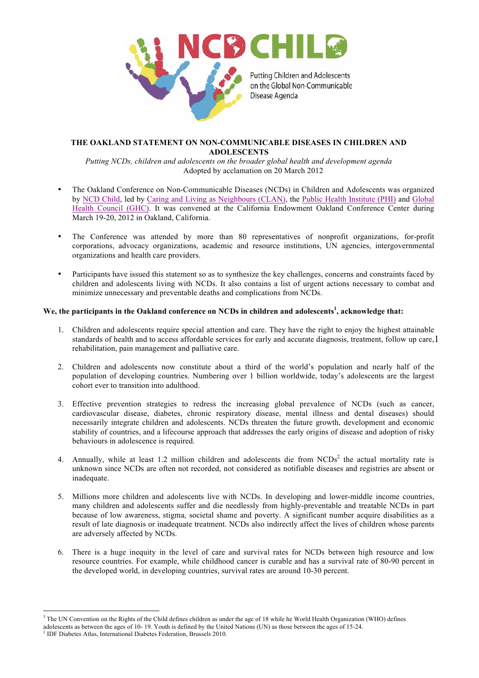

## **THE OAKLAND STATEMENT ON NON-COMMUNICABLE DISEASES IN CHILDREN AND ADOLESCENTS**

*Putting NCDs, children and adolescents on the broader global health and development agenda* Adopted by acclamation on 20 March 2012

- The Oakland Conference on Non-Communicable Diseases (NCDs) in Children and Adolescents was organized by NCD Child, led by Caring and Living as Neighbours (CLAN), the Public Health Institute (PHI) and Global Health Council (GHC). It was convened at the California Endowment Oakland Conference Center during March 19-20, 2012 in Oakland, California.
- The Conference was attended by more than 80 representatives of nonprofit organizations, for-profit corporations, advocacy organizations, academic and resource institutions, UN agencies, intergovernmental organizations and health care providers.
- Participants have issued this statement so as to synthesize the key challenges, concerns and constraints faced by children and adolescents living with NCDs. It also contains a list of urgent actions necessary to combat and minimize unnecessary and preventable deaths and complications from NCDs.

## **We, the participants in the Oakland conference on NCDs in children and adolescents<sup>1</sup> , acknowledge that:**

- standards of health and to access affordable services for early and accurate diagnosis, treatment, follow up care, l 1. Children and adolescents require special attention and care. They have the right to enjoy the highest attainable rehabilitation, pain management and palliative care.
- 2. Children and adolescents now constitute about a third of the world's population and nearly half of the population of developing countries. Numbering over 1 billion worldwide, today's adolescents are the largest cohort ever to transition into adulthood.
- 3. Effective prevention strategies to redress the increasing global prevalence of NCDs (such as cancer, cardiovascular disease, diabetes, chronic respiratory disease, mental illness and dental diseases) should necessarily integrate children and adolescents. NCDs threaten the future growth, development and economic stability of countries, and a lifecourse approach that addresses the early origins of disease and adoption of risky behaviours in adolescence is required.
- 4. Annually, while at least 1.2 million children and adolescents die from  $NCDs<sup>2</sup>$  the actual mortality rate is unknown since NCDs are often not recorded, not considered as notifiable diseases and registries are absent or inadequate.
- 5. Millions more children and adolescents live with NCDs. In developing and lower-middle income countries, many children and adolescents suffer and die needlessly from highly-preventable and treatable NCDs in part because of low awareness, stigma, societal shame and poverty. A significant number acquire disabilities as a result of late diagnosis or inadequate treatment. NCDs also indirectly affect the lives of children whose parents are adversely affected by NCDs.
- 6. There is a huge inequity in the level of care and survival rates for NCDs between high resource and low resource countries. For example, while childhood cancer is curable and has a survival rate of 80-90 percent in the developed world, in developing countries, survival rates are around 10-30 percent.

<sup>&</sup>lt;sup>1</sup> The UN Convention on the Rights of the Child defines children as under the age of 18 while he World Health Organization (WHO) defines

adolescents as between the ages of 10- 19. Youth is defined by the United Nations (UN) as those between the ages of 15-24.

<sup>&</sup>lt;sup>2</sup> IDF Diabetes Atlas, International Diabetes Federation, Brussels 2010.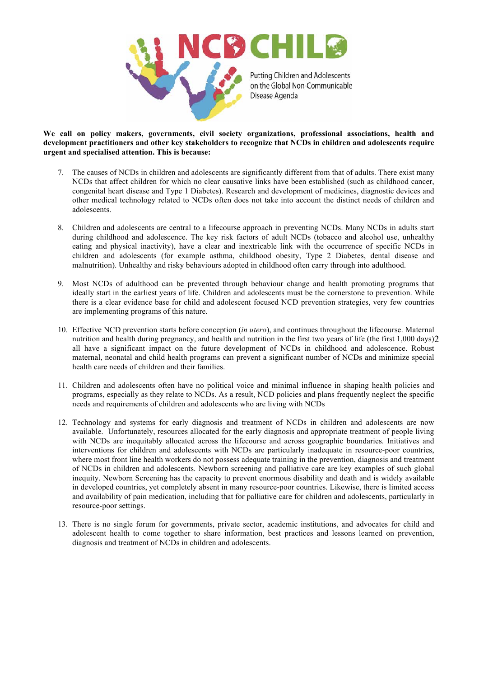

**We call on policy makers, governments, civil society organizations, professional associations, health and development practitioners and other key stakeholders to recognize that NCDs in children and adolescents require urgent and specialised attention. This is because:**

- 7. The causes of NCDs in children and adolescents are significantly different from that of adults. There exist many NCDs that affect children for which no clear causative links have been established (such as childhood cancer, congenital heart disease and Type 1 Diabetes). Research and development of medicines, diagnostic devices and other medical technology related to NCDs often does not take into account the distinct needs of children and adolescents.
- 8. Children and adolescents are central to a lifecourse approach in preventing NCDs. Many NCDs in adults start during childhood and adolescence. The key risk factors of adult NCDs (tobacco and alcohol use, unhealthy eating and physical inactivity), have a clear and inextricable link with the occurrence of specific NCDs in children and adolescents (for example asthma, childhood obesity, Type 2 Diabetes, dental disease and malnutrition). Unhealthy and risky behaviours adopted in childhood often carry through into adulthood.
- 9. Most NCDs of adulthood can be prevented through behaviour change and health promoting programs that ideally start in the earliest years of life. Children and adolescents must be the cornerstone to prevention. While there is a clear evidence base for child and adolescent focused NCD prevention strategies, very few countries are implementing programs of this nature.
- nutrition and health during pregnancy, and health and nutrition in the first two years of life (the first 1,000 days)2 10. Effective NCD prevention starts before conception (*in utero*), and continues throughout the lifecourse. Maternal all have a significant impact on the future development of NCDs in childhood and adolescence. Robust maternal, neonatal and child health programs can prevent a significant number of NCDs and minimize special health care needs of children and their families.
- 11. Children and adolescents often have no political voice and minimal influence in shaping health policies and programs, especially as they relate to NCDs. As a result, NCD policies and plans frequently neglect the specific needs and requirements of children and adolescents who are living with NCDs
- 12. Technology and systems for early diagnosis and treatment of NCDs in children and adolescents are now available. Unfortunately, resources allocated for the early diagnosis and appropriate treatment of people living with NCDs are inequitably allocated across the lifecourse and across geographic boundaries. Initiatives and interventions for children and adolescents with NCDs are particularly inadequate in resource-poor countries, where most front line health workers do not possess adequate training in the prevention, diagnosis and treatment of NCDs in children and adolescents. Newborn screening and palliative care are key examples of such global inequity. Newborn Screening has the capacity to prevent enormous disability and death and is widely available in developed countries, yet completely absent in many resource-poor countries. Likewise, there is limited access and availability of pain medication, including that for palliative care for children and adolescents, particularly in resource-poor settings.
- 13. There is no single forum for governments, private sector, academic institutions, and advocates for child and adolescent health to come together to share information, best practices and lessons learned on prevention, diagnosis and treatment of NCDs in children and adolescents.